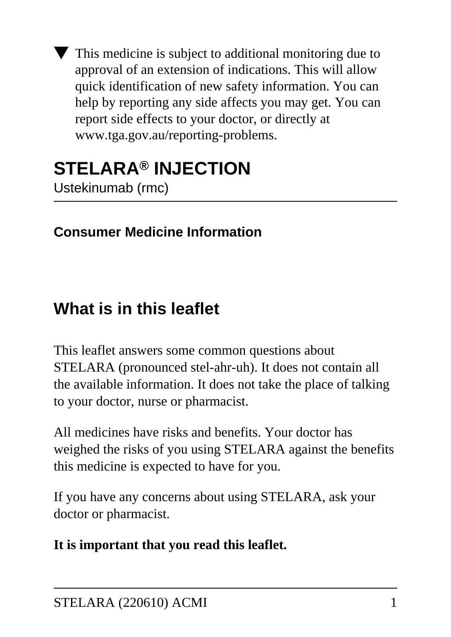This medicine is subject to additional monitoring due to approval of an extension of indications. This will allow quick identification of new safety information. You can help by reporting any side affects you may get. You can report side effects to your doctor, or directly at www.tga.gov.au/reporting-problems.

## **STELARA® INJECTION** Ustekinumab (rmc)

## **Consumer Medicine Information**

# **What is in this leaflet**

This leaflet answers some common questions about STELARA (pronounced stel-ahr-uh). It does not contain all the available information. It does not take the place of talking to your doctor, nurse or pharmacist.

All medicines have risks and benefits. Your doctor has weighed the risks of you using STELARA against the benefits this medicine is expected to have for you.

If you have any concerns about using STELARA, ask your doctor or pharmacist.

#### **It is important that you read this leaflet.**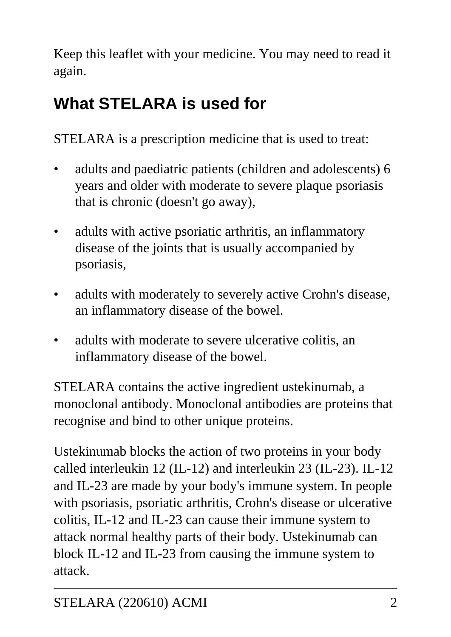Keep this leaflet with your medicine. You may need to read it again.

# **What STELARA is used for**

STELARA is a prescription medicine that is used to treat:

- adults and paediatric patients (children and adolescents) 6 years and older with moderate to severe plaque psoriasis that is chronic (doesn't go away),
- adults with active psoriatic arthritis, an inflammatory disease of the joints that is usually accompanied by psoriasis,
- adults with moderately to severely active Crohn's disease, an inflammatory disease of the bowel.
- adults with moderate to severe ulcerative colitis, an inflammatory disease of the bowel.

STELARA contains the active ingredient ustekinumab, a monoclonal antibody. Monoclonal antibodies are proteins that recognise and bind to other unique proteins.

Ustekinumab blocks the action of two proteins in your body called interleukin 12 (IL-12) and interleukin 23 (IL-23). IL-12 and IL-23 are made by your body's immune system. In people with psoriasis, psoriatic arthritis, Crohn's disease or ulcerative colitis, IL-12 and IL-23 can cause their immune system to attack normal healthy parts of their body. Ustekinumab can block IL-12 and IL-23 from causing the immune system to attack.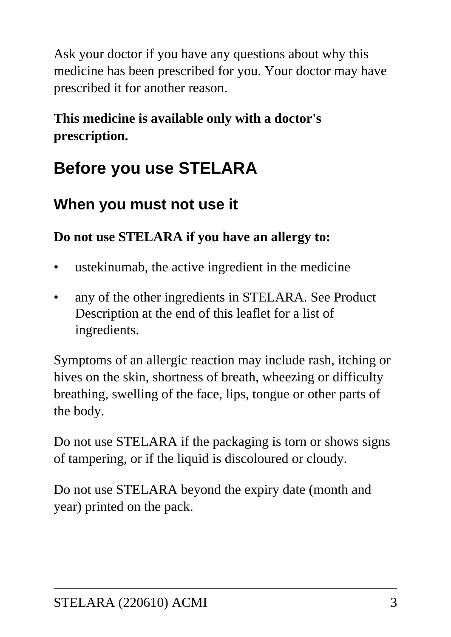Ask your doctor if you have any questions about why this medicine has been prescribed for you. Your doctor may have prescribed it for another reason.

### **This medicine is available only with a doctor's prescription.**

# **Before you use STELARA**

## **When you must not use it**

### **Do not use STELARA if you have an allergy to:**

- ustekinumab, the active ingredient in the medicine
- any of the other ingredients in STELARA. See Product Description at the end of this leaflet for a list of ingredients.

Symptoms of an allergic reaction may include rash, itching or hives on the skin, shortness of breath, wheezing or difficulty breathing, swelling of the face, lips, tongue or other parts of the body.

Do not use STELARA if the packaging is torn or shows signs of tampering, or if the liquid is discoloured or cloudy.

Do not use STELARA beyond the expiry date (month and year) printed on the pack.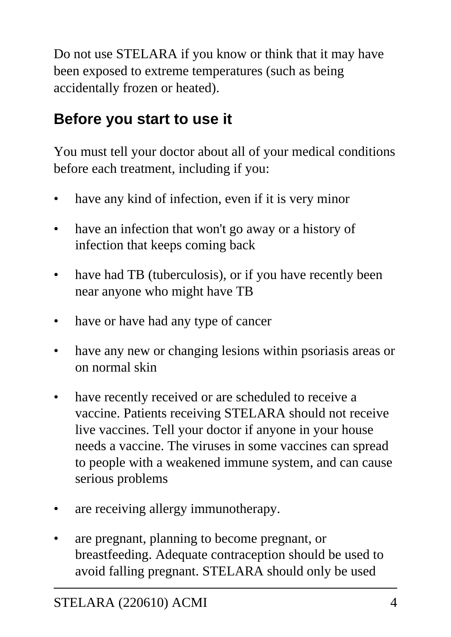Do not use STELARA if you know or think that it may have been exposed to extreme temperatures (such as being accidentally frozen or heated).

## **Before you start to use it**

You must tell your doctor about all of your medical conditions before each treatment, including if you:

- have any kind of infection, even if it is very minor
- have an infection that won't go away or a history of infection that keeps coming back
- have had TB (tuberculosis), or if you have recently been near anyone who might have TB
- have or have had any type of cancer
- have any new or changing lesions within psoriasis areas or on normal skin
- have recently received or are scheduled to receive a vaccine. Patients receiving STELARA should not receive live vaccines. Tell your doctor if anyone in your house needs a vaccine. The viruses in some vaccines can spread to people with a weakened immune system, and can cause serious problems
- are receiving allergy immunotherapy.
- are pregnant, planning to become pregnant, or breastfeeding. Adequate contraception should be used to avoid falling pregnant. STELARA should only be used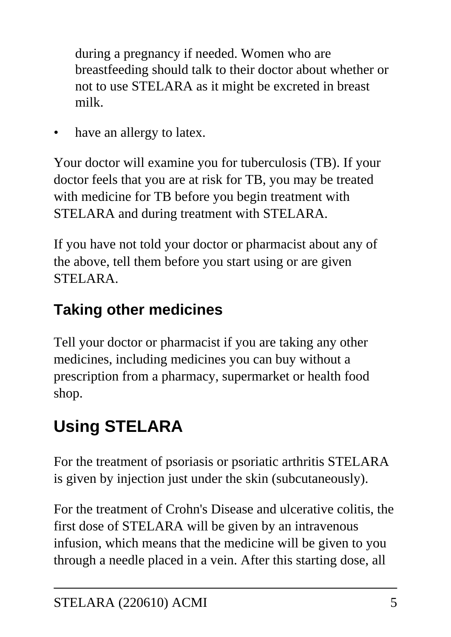during a pregnancy if needed. Women who are breastfeeding should talk to their doctor about whether or not to use STELARA as it might be excreted in breast milk.

have an allergy to latex.

Your doctor will examine you for tuberculosis (TB). If your doctor feels that you are at risk for TB, you may be treated with medicine for TB before you begin treatment with STELARA and during treatment with STELARA.

If you have not told your doctor or pharmacist about any of the above, tell them before you start using or are given STELARA.

## **Taking other medicines**

Tell your doctor or pharmacist if you are taking any other medicines, including medicines you can buy without a prescription from a pharmacy, supermarket or health food shop.

# **Using STELARA**

For the treatment of psoriasis or psoriatic arthritis STELARA is given by injection just under the skin (subcutaneously).

For the treatment of Crohn's Disease and ulcerative colitis, the first dose of STELARA will be given by an intravenous infusion, which means that the medicine will be given to you through a needle placed in a vein. After this starting dose, all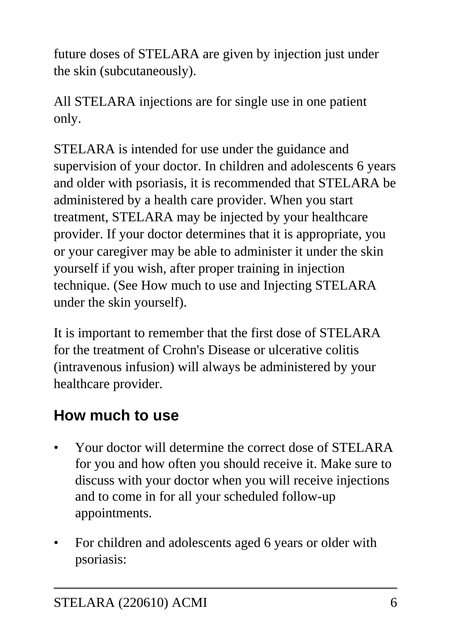future doses of STELARA are given by injection just under the skin (subcutaneously).

All STELARA injections are for single use in one patient only.

STELARA is intended for use under the guidance and supervision of your doctor. In children and adolescents 6 years and older with psoriasis, it is recommended that STELARA be administered by a health care provider. When you start treatment, STELARA may be injected by your healthcare provider. If your doctor determines that it is appropriate, you or your caregiver may be able to administer it under the skin yourself if you wish, after proper training in injection technique. (See How much to use and Injecting STELARA under the skin yourself).

It is important to remember that the first dose of STELARA for the treatment of Crohn's Disease or ulcerative colitis (intravenous infusion) will always be administered by your healthcare provider.

## **How much to use**

- Your doctor will determine the correct dose of STELARA for you and how often you should receive it. Make sure to discuss with your doctor when you will receive injections and to come in for all your scheduled follow-up appointments.
- For children and adolescents aged 6 years or older with psoriasis: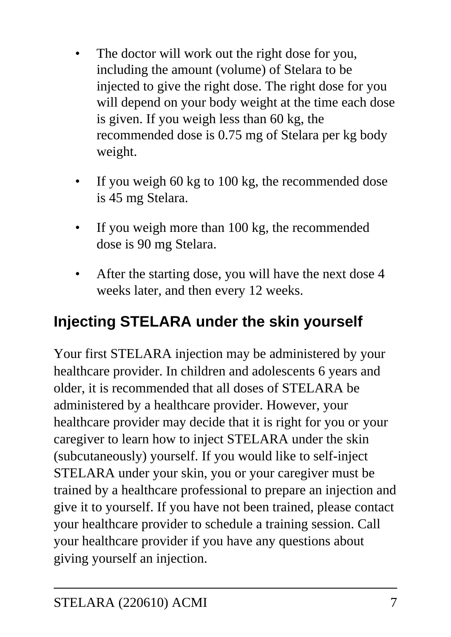- The doctor will work out the right dose for you, including the amount (volume) of Stelara to be injected to give the right dose. The right dose for you will depend on your body weight at the time each dose is given. If you weigh less than 60 kg, the recommended dose is 0.75 mg of Stelara per kg body weight.
- If you weigh 60 kg to 100 kg, the recommended dose is 45 mg Stelara.
- If you weigh more than 100 kg, the recommended dose is 90 mg Stelara.
- After the starting dose, you will have the next dose 4 weeks later, and then every 12 weeks.

## **Injecting STELARA under the skin yourself**

Your first STELARA injection may be administered by your healthcare provider. In children and adolescents 6 years and older, it is recommended that all doses of STELARA be administered by a healthcare provider. However, your healthcare provider may decide that it is right for you or your caregiver to learn how to inject STELARA under the skin (subcutaneously) yourself. If you would like to self-inject STELARA under your skin, you or your caregiver must be trained by a healthcare professional to prepare an injection and give it to yourself. If you have not been trained, please contact your healthcare provider to schedule a training session. Call your healthcare provider if you have any questions about giving yourself an injection.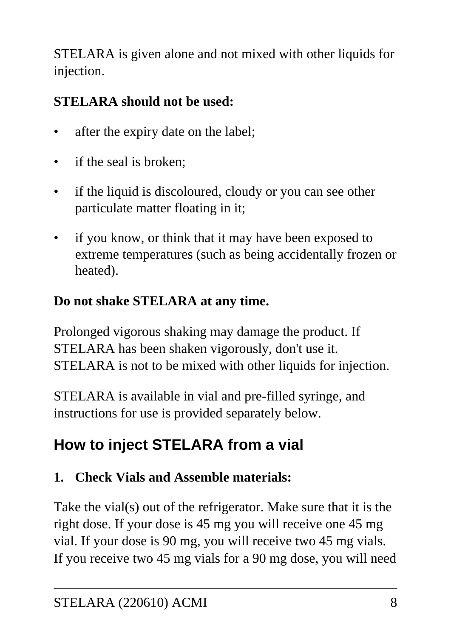STELARA is given alone and not mixed with other liquids for injection.

## **STELARA should not be used:**

- after the expiry date on the label;
- if the seal is broken:
- if the liquid is discoloured, cloudy or you can see other particulate matter floating in it;
- if you know, or think that it may have been exposed to extreme temperatures (such as being accidentally frozen or heated).

### **Do not shake STELARA at any time.**

Prolonged vigorous shaking may damage the product. If STELARA has been shaken vigorously, don't use it. STELARA is not to be mixed with other liquids for injection.

STELARA is available in vial and pre-filled syringe, and instructions for use is provided separately below.

## **How to inject STELARA from a vial**

## **1. Check Vials and Assemble materials:**

Take the vial(s) out of the refrigerator. Make sure that it is the right dose. If your dose is 45 mg you will receive one 45 mg vial. If your dose is 90 mg, you will receive two 45 mg vials. If you receive two 45 mg vials for a 90 mg dose, you will need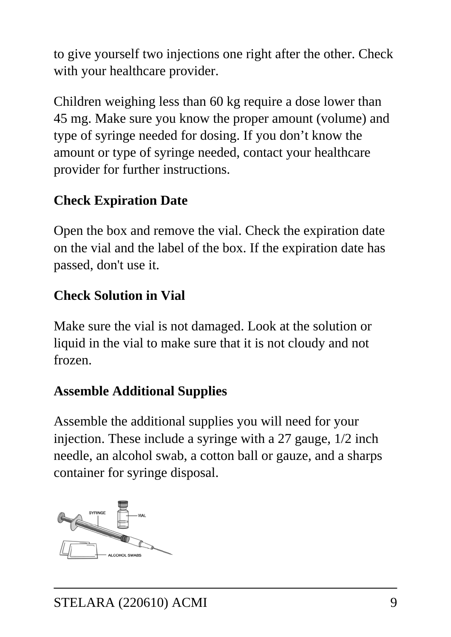to give yourself two injections one right after the other. Check with your healthcare provider.

Children weighing less than 60 kg require a dose lower than 45 mg. Make sure you know the proper amount (volume) and type of syringe needed for dosing. If you don't know the amount or type of syringe needed, contact your healthcare provider for further instructions.

#### **Check Expiration Date**

Open the box and remove the vial. Check the expiration date on the vial and the label of the box. If the expiration date has passed, don't use it.

#### **Check Solution in Vial**

Make sure the vial is not damaged. Look at the solution or liquid in the vial to make sure that it is not cloudy and not frozen.

### **Assemble Additional Supplies**

Assemble the additional supplies you will need for your injection. These include a syringe with a 27 gauge, 1/2 inch needle, an alcohol swab, a cotton ball or gauze, and a sharps container for syringe disposal.

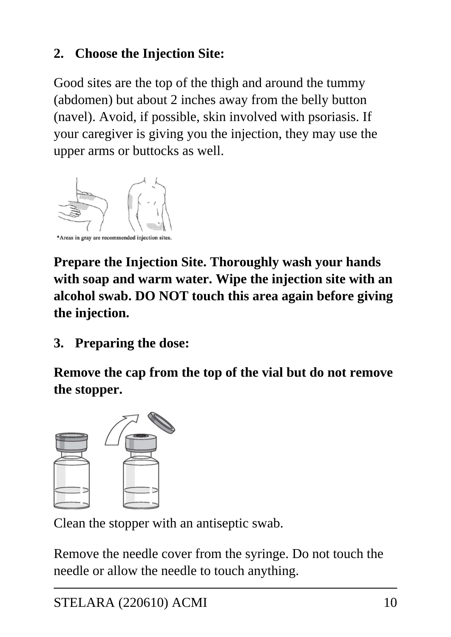### **2. Choose the Injection Site:**

Good sites are the top of the thigh and around the tummy (abdomen) but about 2 inches away from the belly button (navel). Avoid, if possible, skin involved with psoriasis. If your caregiver is giving you the injection, they may use the upper arms or buttocks as well.



**Prepare the Injection Site. Thoroughly wash your hands with soap and warm water. Wipe the injection site with an alcohol swab. DO NOT touch this area again before giving the injection.**

**3. Preparing the dose:**

**Remove the cap from the top of the vial but do not remove the stopper.**



Clean the stopper with an antiseptic swab.

Remove the needle cover from the syringe. Do not touch the needle or allow the needle to touch anything.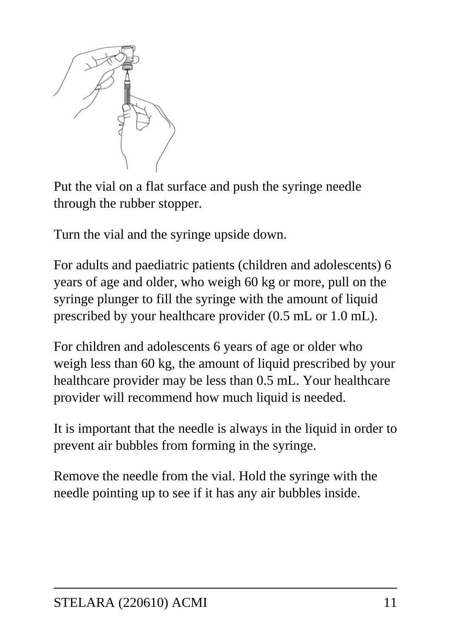

Put the vial on a flat surface and push the syringe needle through the rubber stopper.

Turn the vial and the syringe upside down.

For adults and paediatric patients (children and adolescents) 6 years of age and older, who weigh 60 kg or more, pull on the syringe plunger to fill the syringe with the amount of liquid prescribed by your healthcare provider (0.5 mL or 1.0 mL).

For children and adolescents 6 years of age or older who weigh less than 60 kg, the amount of liquid prescribed by your healthcare provider may be less than 0.5 mL. Your healthcare provider will recommend how much liquid is needed.

It is important that the needle is always in the liquid in order to prevent air bubbles from forming in the syringe.

Remove the needle from the vial. Hold the syringe with the needle pointing up to see if it has any air bubbles inside.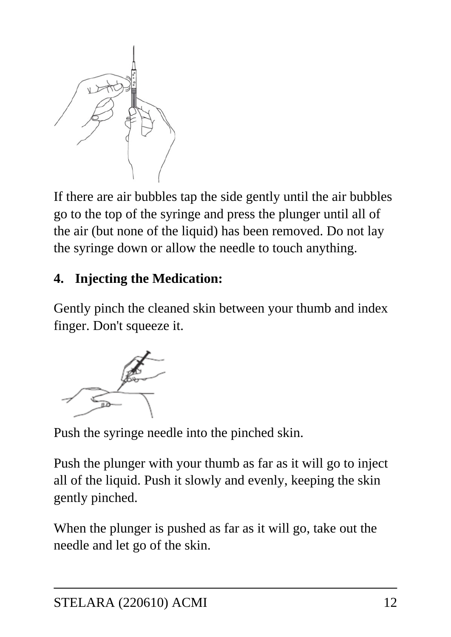

If there are air bubbles tap the side gently until the air bubbles go to the top of the syringe and press the plunger until all of the air (but none of the liquid) has been removed. Do not lay the syringe down or allow the needle to touch anything.

#### **4. Injecting the Medication:**

Gently pinch the cleaned skin between your thumb and index finger. Don't squeeze it.



Push the syringe needle into the pinched skin.

Push the plunger with your thumb as far as it will go to inject all of the liquid. Push it slowly and evenly, keeping the skin gently pinched.

When the plunger is pushed as far as it will go, take out the needle and let go of the skin.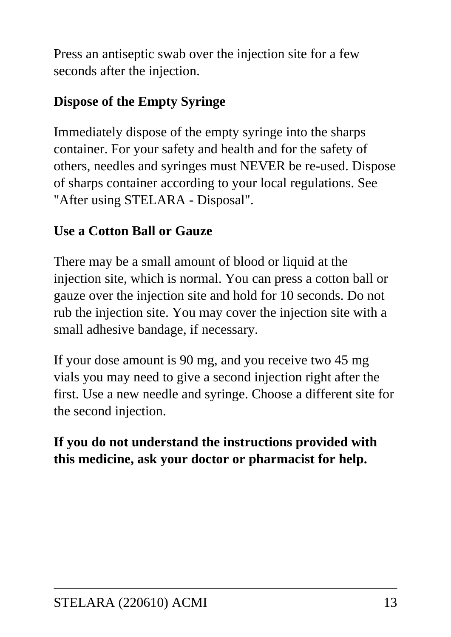Press an antiseptic swab over the injection site for a few seconds after the injection.

### **Dispose of the Empty Syringe**

Immediately dispose of the empty syringe into the sharps container. For your safety and health and for the safety of others, needles and syringes must NEVER be re-used. Dispose of sharps container according to your local regulations. See "After using STELARA - Disposal".

#### **Use a Cotton Ball or Gauze**

There may be a small amount of blood or liquid at the injection site, which is normal. You can press a cotton ball or gauze over the injection site and hold for 10 seconds. Do not rub the injection site. You may cover the injection site with a small adhesive bandage, if necessary.

If your dose amount is 90 mg, and you receive two 45 mg vials you may need to give a second injection right after the first. Use a new needle and syringe. Choose a different site for the second injection.

#### **If you do not understand the instructions provided with this medicine, ask your doctor or pharmacist for help.**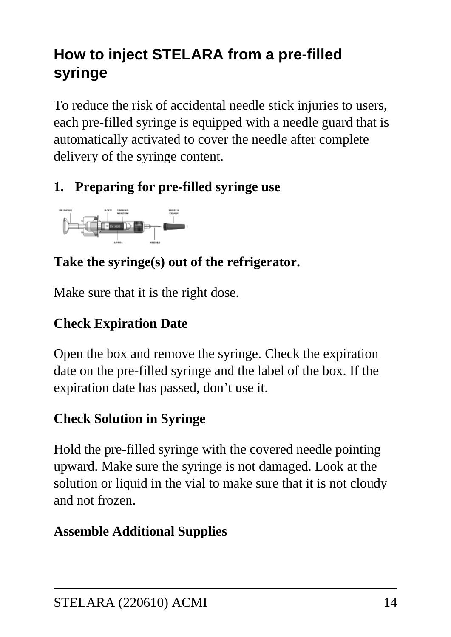## **How to inject STELARA from a pre-filled syringe**

To reduce the risk of accidental needle stick injuries to users, each pre-filled syringe is equipped with a needle guard that is automatically activated to cover the needle after complete delivery of the syringe content.

## **1. Preparing for pre-filled syringe use**



### **Take the syringe(s) out of the refrigerator.**

Make sure that it is the right dose.

## **Check Expiration Date**

Open the box and remove the syringe. Check the expiration date on the pre-filled syringe and the label of the box. If the expiration date has passed, don't use it.

## **Check Solution in Syringe**

Hold the pre-filled syringe with the covered needle pointing upward. Make sure the syringe is not damaged. Look at the solution or liquid in the vial to make sure that it is not cloudy and not frozen.

## **Assemble Additional Supplies**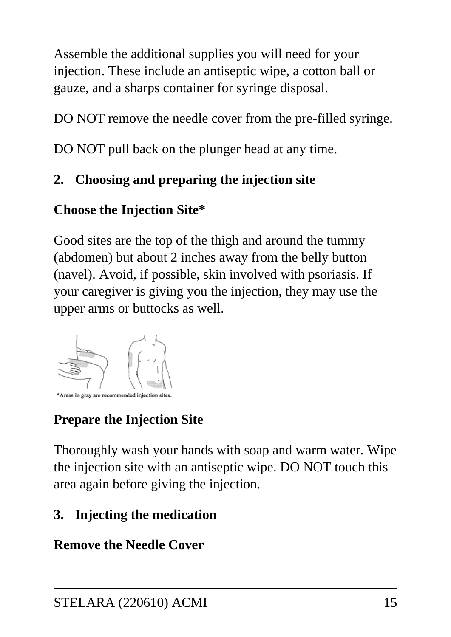Assemble the additional supplies you will need for your injection. These include an antiseptic wipe, a cotton ball or gauze, and a sharps container for syringe disposal.

DO NOT remove the needle cover from the pre-filled syringe.

DO NOT pull back on the plunger head at any time.

#### **2. Choosing and preparing the injection site**

#### **Choose the Injection Site\***

Good sites are the top of the thigh and around the tummy (abdomen) but about 2 inches away from the belly button (navel). Avoid, if possible, skin involved with psoriasis. If your caregiver is giving you the injection, they may use the upper arms or buttocks as well.



### **Prepare the Injection Site**

Thoroughly wash your hands with soap and warm water. Wipe the injection site with an antiseptic wipe. DO NOT touch this area again before giving the injection.

### **3. Injecting the medication**

#### **Remove the Needle Cover**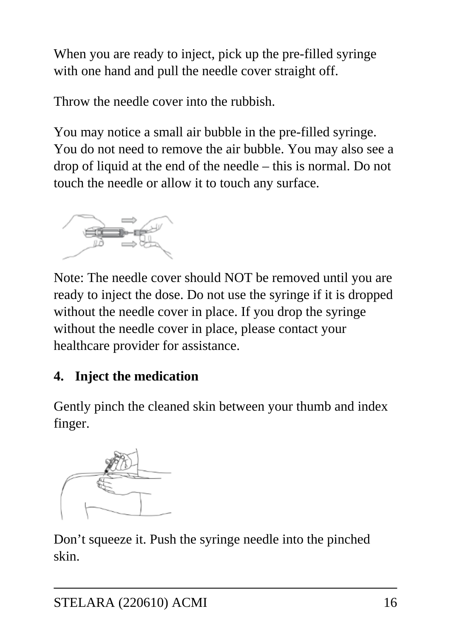When you are ready to inject, pick up the pre-filled syringe with one hand and pull the needle cover straight off.

Throw the needle cover into the rubbish.

You may notice a small air bubble in the pre-filled syringe. You do not need to remove the air bubble. You may also see a drop of liquid at the end of the needle – this is normal. Do not touch the needle or allow it to touch any surface.



Note: The needle cover should NOT be removed until you are ready to inject the dose. Do not use the syringe if it is dropped without the needle cover in place. If you drop the syringe without the needle cover in place, please contact your healthcare provider for assistance.

## **4. Inject the medication**

Gently pinch the cleaned skin between your thumb and index finger.



Don't squeeze it. Push the syringe needle into the pinched skin.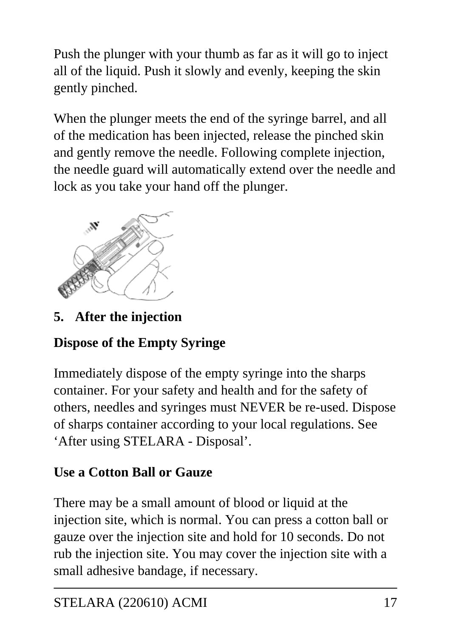Push the plunger with your thumb as far as it will go to inject all of the liquid. Push it slowly and evenly, keeping the skin gently pinched.

When the plunger meets the end of the syringe barrel, and all of the medication has been injected, release the pinched skin and gently remove the needle. Following complete injection, the needle guard will automatically extend over the needle and lock as you take your hand off the plunger.



**5. After the injection**

## **Dispose of the Empty Syringe**

Immediately dispose of the empty syringe into the sharps container. For your safety and health and for the safety of others, needles and syringes must NEVER be re-used. Dispose of sharps container according to your local regulations. See 'After using STELARA - Disposal'.

#### **Use a Cotton Ball or Gauze**

There may be a small amount of blood or liquid at the injection site, which is normal. You can press a cotton ball or gauze over the injection site and hold for 10 seconds. Do not rub the injection site. You may cover the injection site with a small adhesive bandage, if necessary.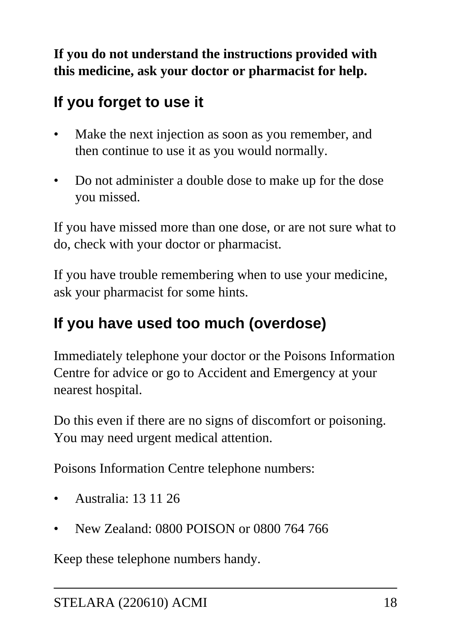**If you do not understand the instructions provided with this medicine, ask your doctor or pharmacist for help.**

## **If you forget to use it**

- Make the next injection as soon as you remember, and then continue to use it as you would normally.
- Do not administer a double dose to make up for the dose you missed.

If you have missed more than one dose, or are not sure what to do, check with your doctor or pharmacist.

If you have trouble remembering when to use your medicine, ask your pharmacist for some hints.

## **If you have used too much (overdose)**

Immediately telephone your doctor or the Poisons Information Centre for advice or go to Accident and Emergency at your nearest hospital.

Do this even if there are no signs of discomfort or poisoning. You may need urgent medical attention.

Poisons Information Centre telephone numbers:

- Australia: 13 11 26
- New Zealand: 0800 POISON or 0800 764 766

Keep these telephone numbers handy.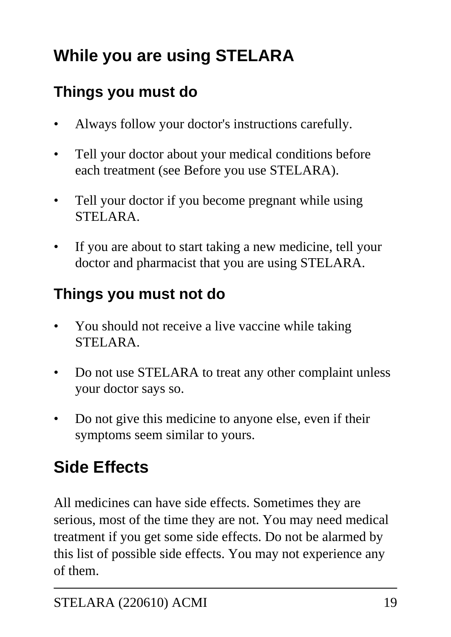# **While you are using STELARA**

## **Things you must do**

- Always follow your doctor's instructions carefully.
- Tell your doctor about your medical conditions before each treatment (see Before you use STELARA).
- Tell your doctor if you become pregnant while using STELARA.
- If you are about to start taking a new medicine, tell your doctor and pharmacist that you are using STELARA.

## **Things you must not do**

- You should not receive a live vaccine while taking STELARA.
- Do not use STELARA to treat any other complaint unless your doctor says so.
- Do not give this medicine to anyone else, even if their symptoms seem similar to yours.

# **Side Effects**

All medicines can have side effects. Sometimes they are serious, most of the time they are not. You may need medical treatment if you get some side effects. Do not be alarmed by this list of possible side effects. You may not experience any of them.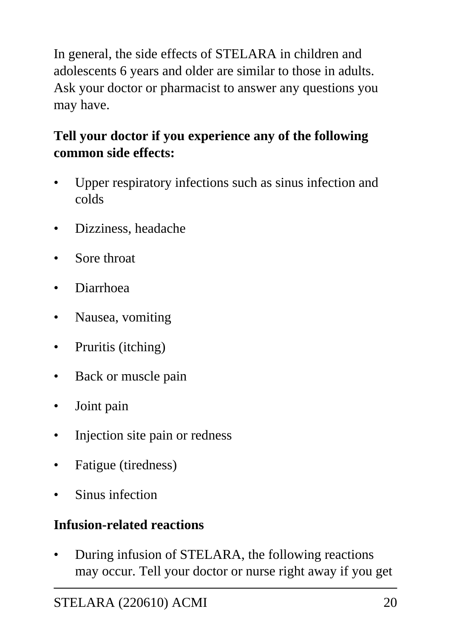In general, the side effects of STELARA in children and adolescents 6 years and older are similar to those in adults. Ask your doctor or pharmacist to answer any questions you may have.

### **Tell your doctor if you experience any of the following common side effects:**

- Upper respiratory infections such as sinus infection and colds
- Dizziness, headache
- Sore throat
- Diarrhoea
- Nausea, vomiting
- Pruritis (itching)
- Back or muscle pain
- Joint pain
- Injection site pain or redness
- Fatigue (tiredness)
- Sinus infection

#### **Infusion-related reactions**

• During infusion of STELARA, the following reactions may occur. Tell your doctor or nurse right away if you get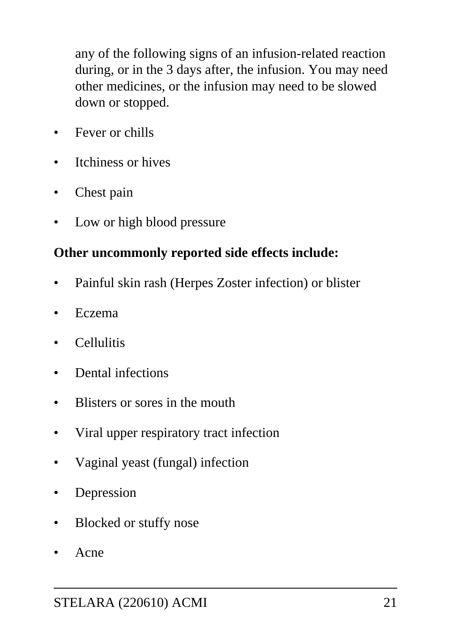any of the following signs of an infusion-related reaction during, or in the 3 days after, the infusion. You may need other medicines, or the infusion may need to be slowed down or stopped.

- Fever or chills
- Itchiness or hives
- Chest pain
- Low or high blood pressure

#### **Other uncommonly reported side effects include:**

- Painful skin rash (Herpes Zoster infection) or blister
- Eczema
- Cellulitis
- Dental infections
- Blisters or sores in the mouth
- Viral upper respiratory tract infection
- Vaginal yeast (fungal) infection
- **Depression**
- Blocked or stuffy nose
- Acne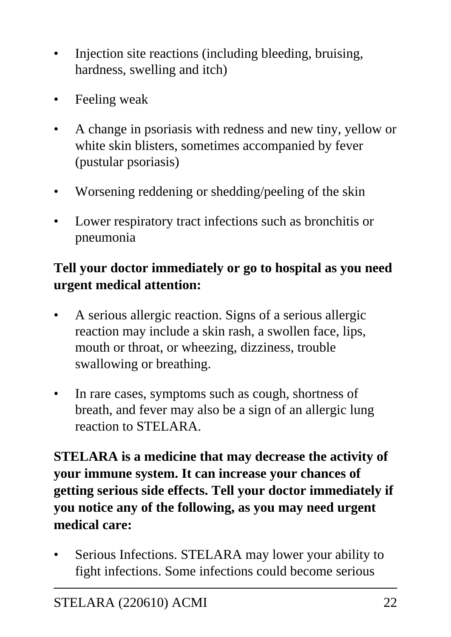- Injection site reactions (including bleeding, bruising, hardness, swelling and itch)
- Feeling weak
- A change in psoriasis with redness and new tiny, yellow or white skin blisters, sometimes accompanied by fever (pustular psoriasis)
- Worsening reddening or shedding/peeling of the skin
- Lower respiratory tract infections such as bronchitis or pneumonia

#### **Tell your doctor immediately or go to hospital as you need urgent medical attention:**

- A serious allergic reaction. Signs of a serious allergic reaction may include a skin rash, a swollen face, lips, mouth or throat, or wheezing, dizziness, trouble swallowing or breathing.
- In rare cases, symptoms such as cough, shortness of breath, and fever may also be a sign of an allergic lung reaction to STELARA.

**STELARA is a medicine that may decrease the activity of your immune system. It can increase your chances of getting serious side effects. Tell your doctor immediately if you notice any of the following, as you may need urgent medical care:**

Serious Infections. STELARA may lower your ability to fight infections. Some infections could become serious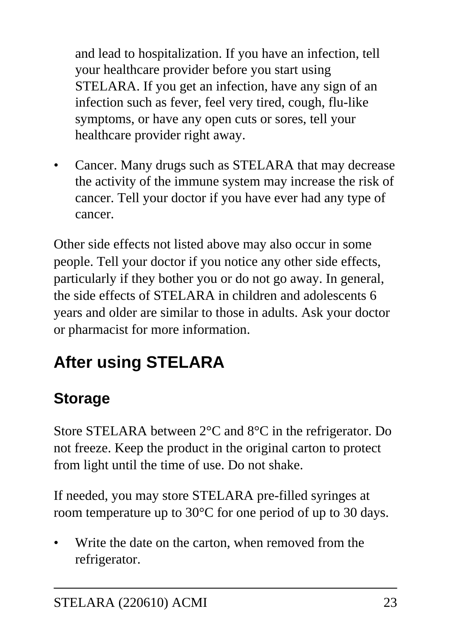and lead to hospitalization. If you have an infection, tell your healthcare provider before you start using STELARA. If you get an infection, have any sign of an infection such as fever, feel very tired, cough, flu-like symptoms, or have any open cuts or sores, tell your healthcare provider right away.

Cancer. Many drugs such as STELARA that may decrease the activity of the immune system may increase the risk of cancer. Tell your doctor if you have ever had any type of cancer.

Other side effects not listed above may also occur in some people. Tell your doctor if you notice any other side effects, particularly if they bother you or do not go away. In general, the side effects of STELARA in children and adolescents 6 years and older are similar to those in adults. Ask your doctor or pharmacist for more information.

# **After using STELARA**

## **Storage**

Store STELARA between 2°C and 8°C in the refrigerator. Do not freeze. Keep the product in the original carton to protect from light until the time of use. Do not shake.

If needed, you may store STELARA pre-filled syringes at room temperature up to 30°C for one period of up to 30 days.

Write the date on the carton, when removed from the refrigerator.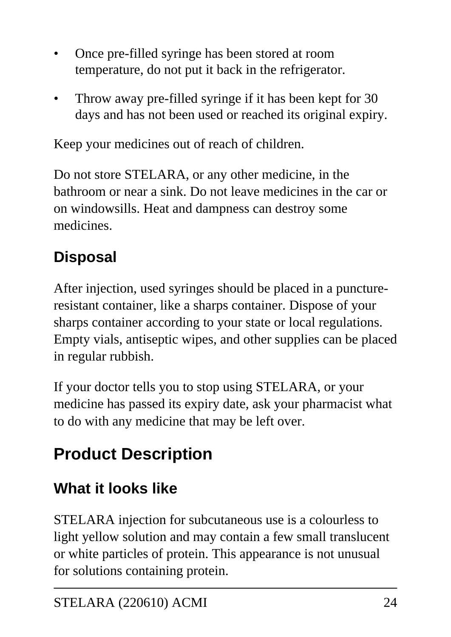- Once pre-filled syringe has been stored at room temperature, do not put it back in the refrigerator.
- Throw away pre-filled syringe if it has been kept for 30 days and has not been used or reached its original expiry.

Keep your medicines out of reach of children.

Do not store STELARA, or any other medicine, in the bathroom or near a sink. Do not leave medicines in the car or on windowsills. Heat and dampness can destroy some medicines.

# **Disposal**

After injection, used syringes should be placed in a punctureresistant container, like a sharps container. Dispose of your sharps container according to your state or local regulations. Empty vials, antiseptic wipes, and other supplies can be placed in regular rubbish.

If your doctor tells you to stop using STELARA, or your medicine has passed its expiry date, ask your pharmacist what to do with any medicine that may be left over.

# **Product Description**

## **What it looks like**

STELARA injection for subcutaneous use is a colourless to light yellow solution and may contain a few small translucent or white particles of protein. This appearance is not unusual for solutions containing protein.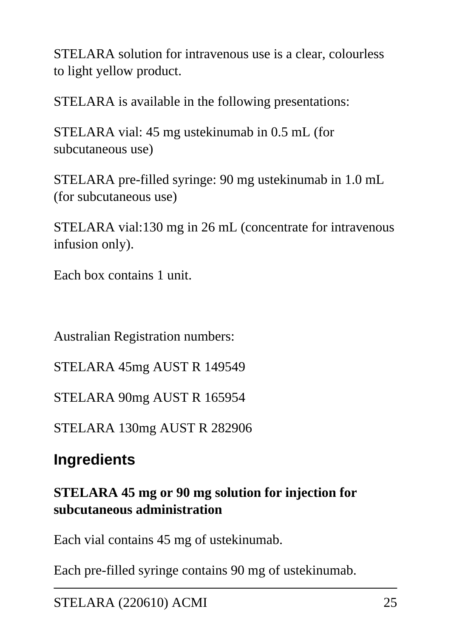STELARA solution for intravenous use is a clear, colourless to light yellow product.

STELARA is available in the following presentations:

STELARA vial: 45 mg ustekinumab in 0.5 mL (for subcutaneous use)

STELARA pre-filled syringe: 90 mg ustekinumab in 1.0 mL (for subcutaneous use)

STELARA vial:130 mg in 26 mL (concentrate for intravenous infusion only).

Each box contains 1 unit.

Australian Registration numbers:

STELARA 45mg AUST R 149549

STELARA 90mg AUST R 165954

STELARA 130mg AUST R 282906

## **Ingredients**

#### **STELARA 45 mg or 90 mg solution for injection for subcutaneous administration**

Each vial contains 45 mg of ustekinumab.

Each pre-filled syringe contains 90 mg of ustekinumab.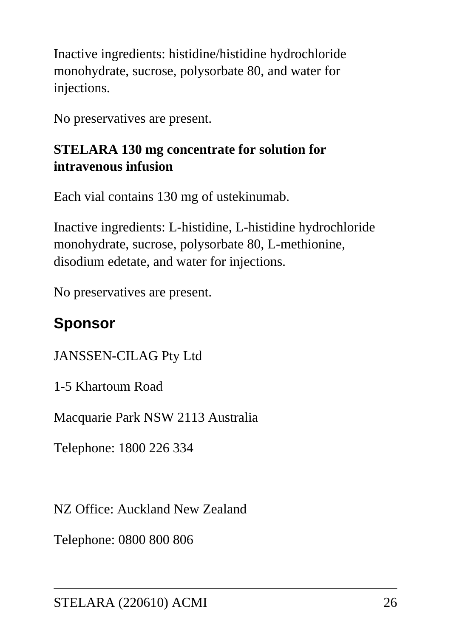Inactive ingredients: histidine/histidine hydrochloride monohydrate, sucrose, polysorbate 80, and water for injections.

No preservatives are present.

#### **STELARA 130 mg concentrate for solution for intravenous infusion**

Each vial contains 130 mg of ustekinumab.

Inactive ingredients: L-histidine, L-histidine hydrochloride monohydrate, sucrose, polysorbate 80, L-methionine, disodium edetate, and water for injections.

No preservatives are present.

## **Sponsor**

JANSSEN-CILAG Pty Ltd

1-5 Khartoum Road

Macquarie Park NSW 2113 Australia

Telephone: 1800 226 334

NZ Office: Auckland New Zealand

Telephone: 0800 800 806